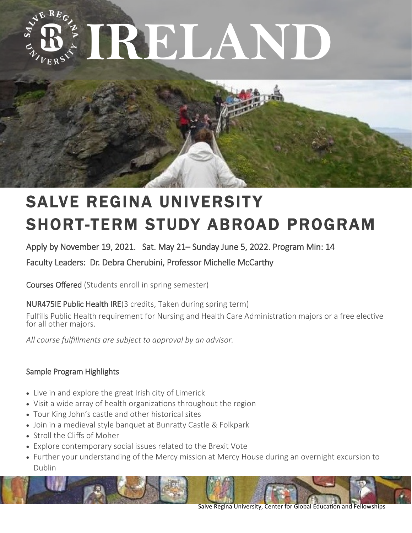



# **SALVE REGINA UNIVERSITY** SHORT-TERM STUDY ABROAD PROGRAM

Apply by November 19, 2021. Sat. May 21– Sunday June 5, 2022. Program Min: 14

Faculty Leaders: Dr. Debra Cherubini, Professor Michelle McCarthy

Courses Offered (Students enroll in spring semester)

NUR475IE Public Health IRE(3 credits, Taken during spring term)

Fulfills Public Health requirement for Nursing and Health Care Administration majors or a free elective for all other majors.

*All course fulfillments are subject to approval by an advisor.*

# Sample Program Highlights

- Live in and explore the great Irish city of Limerick
- Visit a wide array of health organizations throughout the region
- Tour King John's castle and other historical sites
- Join in a medieval style banquet at Bunratty Castle & Folkpark
- Stroll the Cliffs of Moher
- Explore contemporary social issues related to the Brexit Vote
- Further your understanding of the Mercy mission at Mercy House during an overnight excursion to Dublin



Salve Regina University, Center for Global Education and Fellowships